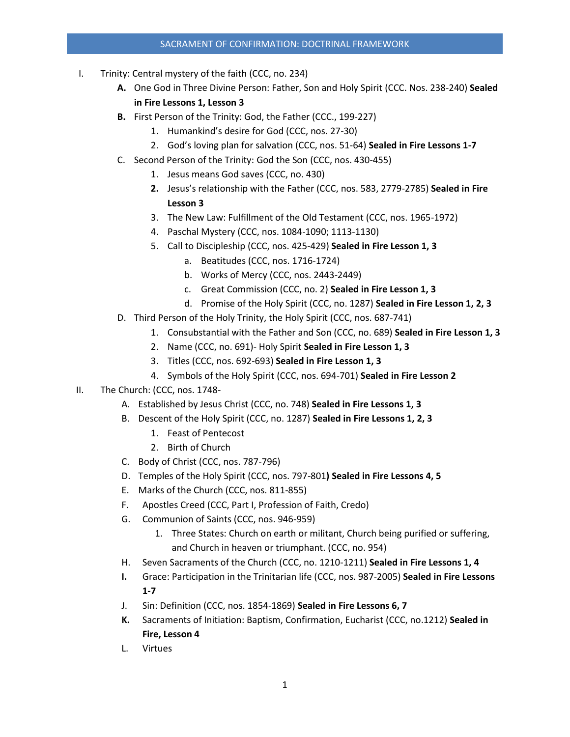## SACRAMENT OF CONFIRMATION: DOCTRINAL FRAMEWORK

- I. Trinity: Central mystery of the faith (CCC, no. 234)
	- **A.** One God in Three Divine Person: Father, Son and Holy Spirit (CCC. Nos. 238-240) **Sealed in Fire Lessons 1, Lesson 3**
	- **B.** First Person of the Trinity: God, the Father (CCC., 199-227)
		- 1. Humankind's desire for God (CCC, nos. 27-30)
		- 2. God's loving plan for salvation (CCC, nos. 51-64) **Sealed in Fire Lessons 1-7**
	- C. Second Person of the Trinity: God the Son (CCC, nos. 430-455)
		- 1. Jesus means God saves (CCC, no. 430)
		- **2.** Jesus's relationship with the Father (CCC, nos. 583, 2779-2785) **Sealed in Fire Lesson 3**
		- 3. The New Law: Fulfillment of the Old Testament (CCC, nos. 1965-1972)
		- 4. Paschal Mystery (CCC, nos. 1084-1090; 1113-1130)
		- 5. Call to Discipleship (CCC, nos. 425-429) **Sealed in Fire Lesson 1, 3**
			- a. Beatitudes (CCC, nos. 1716-1724)
			- b. Works of Mercy (CCC, nos. 2443-2449)
			- c. Great Commission (CCC, no. 2) **Sealed in Fire Lesson 1, 3**
			- d. Promise of the Holy Spirit (CCC, no. 1287) **Sealed in Fire Lesson 1, 2, 3**
	- D. Third Person of the Holy Trinity, the Holy Spirit (CCC, nos. 687-741)
		- 1. Consubstantial with the Father and Son (CCC, no. 689) **Sealed in Fire Lesson 1, 3**
		- 2. Name (CCC, no. 691)- Holy Spirit **Sealed in Fire Lesson 1, 3**
		- 3. Titles (CCC, nos. 692-693) **Sealed in Fire Lesson 1, 3**
		- 4. Symbols of the Holy Spirit (CCC, nos. 694-701) **Sealed in Fire Lesson 2**
- II. The Church: (CCC, nos. 1748-
	- A. Established by Jesus Christ (CCC, no. 748) **Sealed in Fire Lessons 1, 3**
	- B. Descent of the Holy Spirit (CCC, no. 1287) **Sealed in Fire Lessons 1, 2, 3**
		- 1. Feast of Pentecost
		- 2. Birth of Church
	- C. Body of Christ (CCC, nos. 787-796)
	- D. Temples of the Holy Spirit (CCC, nos. 797-801**) Sealed in Fire Lessons 4, 5**
	- E. Marks of the Church (CCC, nos. 811-855)
	- F. Apostles Creed (CCC, Part I, Profession of Faith, Credo)
	- G. Communion of Saints (CCC, nos. 946-959)
		- 1. Three States: Church on earth or militant, Church being purified or suffering, and Church in heaven or triumphant. (CCC, no. 954)
	- H. Seven Sacraments of the Church (CCC, no. 1210-1211) **Sealed in Fire Lessons 1, 4**
	- **I.** Grace: Participation in the Trinitarian life (CCC, nos. 987-2005) **Sealed in Fire Lessons 1-7**
	- J. Sin: Definition (CCC, nos. 1854-1869) **Sealed in Fire Lessons 6, 7**
	- **K.** Sacraments of Initiation: Baptism, Confirmation, Eucharist (CCC, no.1212) **Sealed in Fire, Lesson 4**
	- L. Virtues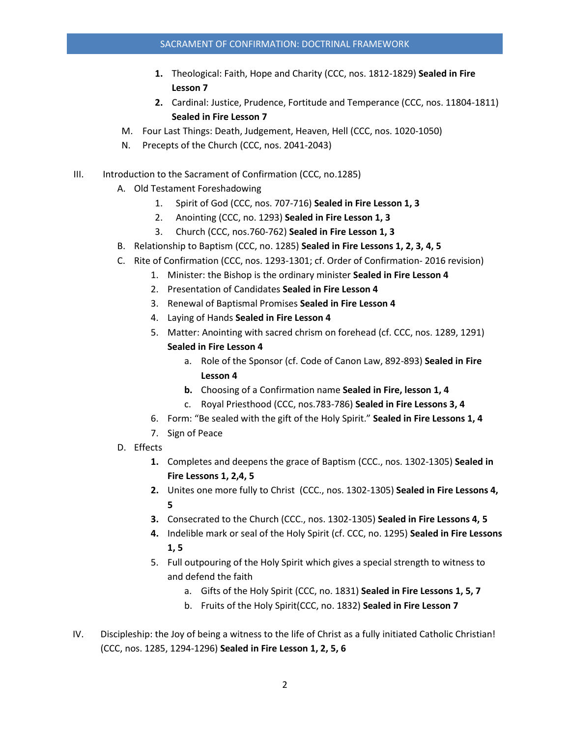- **1.** Theological: Faith, Hope and Charity (CCC, nos. 1812-1829) **Sealed in Fire Lesson 7**
- **2.** Cardinal: Justice, Prudence, Fortitude and Temperance (CCC, nos. 11804-1811) **Sealed in Fire Lesson 7**
- M. Four Last Things: Death, Judgement, Heaven, Hell (CCC, nos. 1020-1050)
- N. Precepts of the Church (CCC, nos. 2041-2043)
- III. Introduction to the Sacrament of Confirmation (CCC, no.1285)
	- A. Old Testament Foreshadowing
		- 1. Spirit of God (CCC, nos. 707-716) **Sealed in Fire Lesson 1, 3**
		- 2. Anointing (CCC, no. 1293) **Sealed in Fire Lesson 1, 3**
		- 3. Church (CCC, nos.760-762) **Sealed in Fire Lesson 1, 3**
	- B. Relationship to Baptism (CCC, no. 1285) **Sealed in Fire Lessons 1, 2, 3, 4, 5**
	- C. Rite of Confirmation (CCC, nos. 1293-1301; cf. Order of Confirmation- 2016 revision)
		- 1. Minister: the Bishop is the ordinary minister **Sealed in Fire Lesson 4**
		- 2. Presentation of Candidates **Sealed in Fire Lesson 4**
		- 3. Renewal of Baptismal Promises **Sealed in Fire Lesson 4**
		- 4. Laying of Hands **Sealed in Fire Lesson 4**
		- 5. Matter: Anointing with sacred chrism on forehead (cf. CCC, nos. 1289, 1291) **Sealed in Fire Lesson 4**
			- a. Role of the Sponsor (cf. Code of Canon Law, 892-893) **Sealed in Fire Lesson 4**
			- **b.** Choosing of a Confirmation name **Sealed in Fire, lesson 1, 4**
			- c. Royal Priesthood (CCC, nos.783-786) **Sealed in Fire Lessons 3, 4**
		- 6. Form: "Be sealed with the gift of the Holy Spirit." **Sealed in Fire Lessons 1, 4**
		- 7. Sign of Peace
	- D. Effects
		- **1.** Completes and deepens the grace of Baptism (CCC., nos. 1302-1305) **Sealed in Fire Lessons 1, 2,4, 5**
		- **2.** Unites one more fully to Christ (CCC., nos. 1302-1305) **Sealed in Fire Lessons 4, 5**
		- **3.** Consecrated to the Church (CCC., nos. 1302-1305) **Sealed in Fire Lessons 4, 5**
		- **4.** Indelible mark or seal of the Holy Spirit (cf. CCC, no. 1295) **Sealed in Fire Lessons 1, 5**
		- 5. Full outpouring of the Holy Spirit which gives a special strength to witness to and defend the faith
			- a. Gifts of the Holy Spirit (CCC, no. 1831) **Sealed in Fire Lessons 1, 5, 7**
			- b. Fruits of the Holy Spirit(CCC, no. 1832) **Sealed in Fire Lesson 7**
- IV. Discipleship: the Joy of being a witness to the life of Christ as a fully initiated Catholic Christian! (CCC, nos. 1285, 1294-1296) **Sealed in Fire Lesson 1, 2, 5, 6**